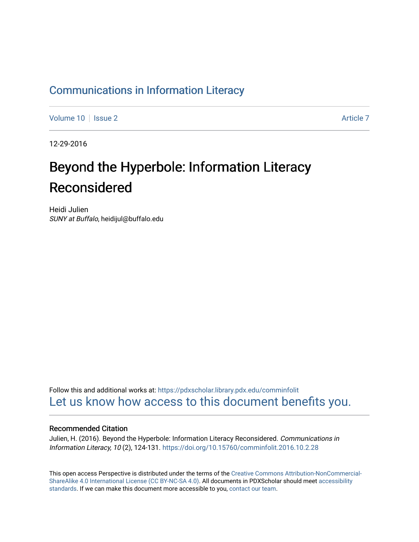# [Communications in Information Literacy](https://pdxscholar.library.pdx.edu/comminfolit)

[Volume 10](https://pdxscholar.library.pdx.edu/comminfolit/vol10) | [Issue 2](https://pdxscholar.library.pdx.edu/comminfolit/vol10/iss2) Article 7

12-29-2016

# Beyond the Hyperbole: Information Literacy Reconsidered

Heidi Julien SUNY at Buffalo, heidijul@buffalo.edu

Follow this and additional works at: [https://pdxscholar.library.pdx.edu/comminfolit](https://pdxscholar.library.pdx.edu/comminfolit?utm_source=pdxscholar.library.pdx.edu%2Fcomminfolit%2Fvol10%2Fiss2%2F7&utm_medium=PDF&utm_campaign=PDFCoverPages)  [Let us know how access to this document benefits you.](http://library.pdx.edu/services/pdxscholar-services/pdxscholar-feedback/) 

#### Recommended Citation

Julien, H. (2016). Beyond the Hyperbole: Information Literacy Reconsidered. Communications in Information Literacy, 10 (2), 124-131.<https://doi.org/10.15760/comminfolit.2016.10.2.28>

This open access Perspective is distributed under the terms of the [Creative Commons Attribution-NonCommercial-](https://creativecommons.org/licenses/by-nc-sa/4.0/)[ShareAlike 4.0 International License \(CC BY-NC-SA 4.0\).](https://creativecommons.org/licenses/by-nc-sa/4.0/) All documents in PDXScholar should meet [accessibility](https://pdxscholar.library.pdx.edu/accessibility.html) [standards](https://pdxscholar.library.pdx.edu/accessibility.html). If we can make this document more accessible to you, [contact our team.](mailto:pdxscholar@pdx.edu)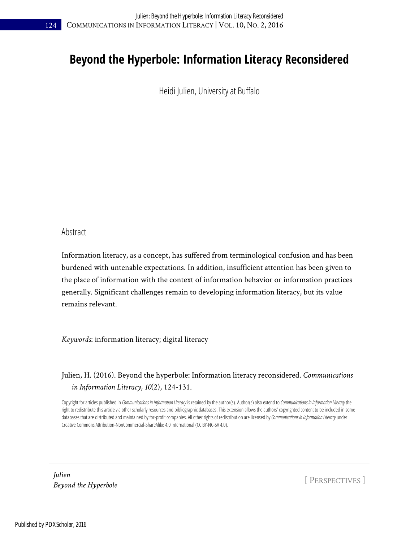# **Beyond the Hyperbole: Information Literacy Reconsidered**

Heidi Julien, University at Buffalo

#### Abstract

Information literacy, as a concept, has suffered from terminological confusion and has been burdened with untenable expectations. In addition, insufficient attention has been given to the place of information with the context of information behavior or information practices generally. Significant challenges remain to developing information literacy, but its value remains relevant.

*Keywords*: information literacy; digital literacy

### Julien, H. (2016). Beyond the hyperbole: Information literacy reconsidered. *Communications in Information Literacy, 10*(2), 124-131.

Copyright for articles published in *Communications in Information Literacy* is retained by the author(s). Author(s) also extend to *Communications in Information Literacy* the right to redistribute this article via other scholarly resources and bibliographic databases. This extension allows the authors' copyrighted content to be included in some databases that are distributed and maintained by for-profit companies. All other rights of redistribution are licensed by Communications in Information Literacy under Creative Commons Attribution-NonCommercial-ShareAlike 4.0 International (CC BY-NC-SA 4.0).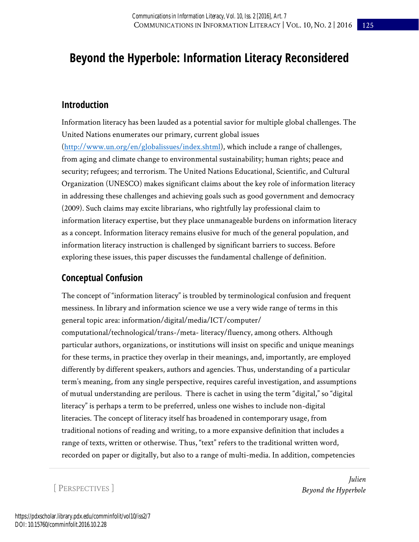# **Beyond the Hyperbole: Information Literacy Reconsidered**

### **Introduction**

Information literacy has been lauded as a potential savior for multiple global challenges. The United Nations enumerates our primary, current global issues [\(http://www.un.org/en/globalissues/index.shtml\)](http://www.un.org/en/globalissues/index.shtml), which include a range of challenges, from aging and climate change to environmental sustainability; human rights; peace and security; refugees; and terrorism. The United Nations Educational, Scientific, and Cultural Organization (UNESCO) makes significant claims about the key role of information literacy in addressing these challenges and achieving goals such as good government and democracy (2009). Such claims may excite librarians, who rightfully lay professional claim to information literacy expertise, but they place unmanageable burdens on information literacy as a concept. Information literacy remains elusive for much of the general population, and information literacy instruction is challenged by significant barriers to success. Before exploring these issues, this paper discusses the fundamental challenge of definition.

# **Conceptual Confusion**

The concept of "information literacy" is troubled by terminological confusion and frequent messiness. In library and information science we use a very wide range of terms in this general topic area: information/digital/media/ICT/computer/

computational/technological/trans-/meta- literacy/fluency, among others. Although particular authors, organizations, or institutions will insist on specific and unique meanings for these terms, in practice they overlap in their meanings, and, importantly, are employed differently by different speakers, authors and agencies. Thus, understanding of a particular term's meaning, from any single perspective, requires careful investigation, and assumptions of mutual understanding are perilous. There is cachet in using the term "digital," so "digital literacy" is perhaps a term to be preferred, unless one wishes to include non-digital literacies. The concept of literacy itself has broadened in contemporary usage, from traditional notions of reading and writing, to a more expansive definition that includes a range of texts, written or otherwise. Thus, "text" refers to the traditional written word, recorded on paper or digitally, but also to a range of multi-media. In addition, competencies

[ PERSPECTIVES ]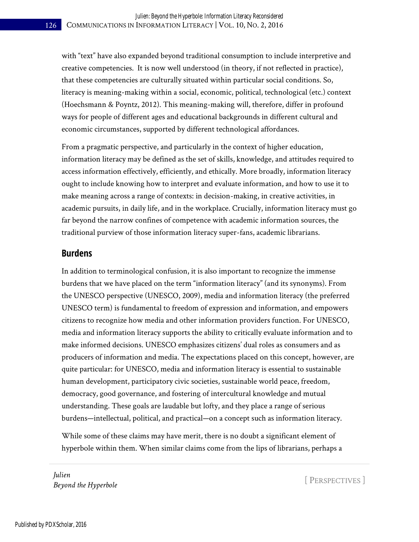with "text" have also expanded beyond traditional consumption to include interpretive and creative competencies. It is now well understood (in theory, if not reflected in practice), that these competencies are culturally situated within particular social conditions. So, literacy is meaning-making within a social, economic, political, technological (etc.) context (Hoechsmann & Poyntz, 2012). This meaning-making will, therefore, differ in profound ways for people of different ages and educational backgrounds in different cultural and economic circumstances, supported by different technological affordances.

From a pragmatic perspective, and particularly in the context of higher education, information literacy may be defined as the set of skills, knowledge, and attitudes required to access information effectively, efficiently, and ethically. More broadly, information literacy ought to include knowing how to interpret and evaluate information, and how to use it to make meaning across a range of contexts: in decision-making, in creative activities, in academic pursuits, in daily life, and in the workplace. Crucially, information literacy must go far beyond the narrow confines of competence with academic information sources, the traditional purview of those information literacy super-fans, academic librarians.

### **Burdens**

In addition to terminological confusion, it is also important to recognize the immense burdens that we have placed on the term "information literacy" (and its synonyms). From the UNESCO perspective (UNESCO, 2009), media and information literacy (the preferred UNESCO term) is fundamental to freedom of expression and information, and empowers citizens to recognize how media and other information providers function. For UNESCO, media and information literacy supports the ability to critically evaluate information and to make informed decisions. UNESCO emphasizes citizens' dual roles as consumers and as producers of information and media. The expectations placed on this concept, however, are quite particular: for UNESCO, media and information literacy is essential to sustainable human development, participatory civic societies, sustainable world peace, freedom, democracy, good governance, and fostering of intercultural knowledge and mutual understanding. These goals are laudable but lofty, and they place a range of serious burdens—intellectual, political, and practical—on a concept such as information literacy.

While some of these claims may have merit, there is no doubt a significant element of hyperbole within them. When similar claims come from the lips of librarians, perhaps a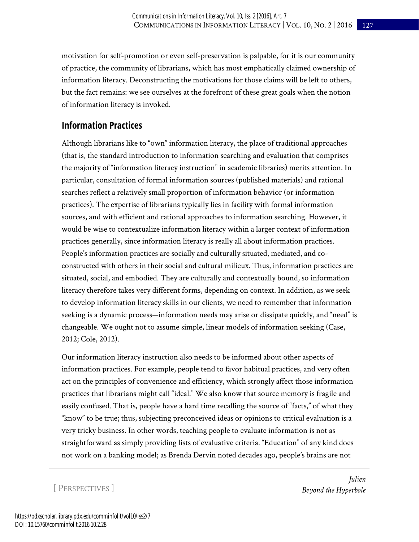motivation for self-promotion or even self-preservation is palpable, for it is our community of practice, the community of librarians, which has most emphatically claimed ownership of information literacy. Deconstructing the motivations for those claims will be left to others, but the fact remains: we see ourselves at the forefront of these great goals when the notion of information literacy is invoked.

# **Information Practices**

Although librarians like to "own" information literacy, the place of traditional approaches (that is, the standard introduction to information searching and evaluation that comprises the majority of "information literacy instruction" in academic libraries) merits attention. In particular, consultation of formal information sources (published materials) and rational searches reflect a relatively small proportion of information behavior (or information practices). The expertise of librarians typically lies in facility with formal information sources, and with efficient and rational approaches to information searching. However, it would be wise to contextualize information literacy within a larger context of information practices generally, since information literacy is really all about information practices. People's information practices are socially and culturally situated, mediated, and coconstructed with others in their social and cultural milieux. Thus, information practices are situated, social, and embodied. They are culturally and contextually bound, so information literacy therefore takes very different forms, depending on context. In addition, as we seek to develop information literacy skills in our clients, we need to remember that information seeking is a dynamic process—information needs may arise or dissipate quickly, and "need" is changeable. We ought not to assume simple, linear models of information seeking (Case, 2012; Cole, 2012).

Our information literacy instruction also needs to be informed about other aspects of information practices. For example, people tend to favor habitual practices, and very often act on the principles of convenience and efficiency, which strongly affect those information practices that librarians might call "ideal." We also know that source memory is fragile and easily confused. That is, people have a hard time recalling the source of "facts," of what they "know" to be true; thus, subjecting preconceived ideas or opinions to critical evaluation is a very tricky business. In other words, teaching people to evaluate information is not as straightforward as simply providing lists of evaluative criteria. "Education" of any kind does not work on a banking model; as Brenda Dervin noted decades ago, people's brains are not

[ PERSPECTIVES ]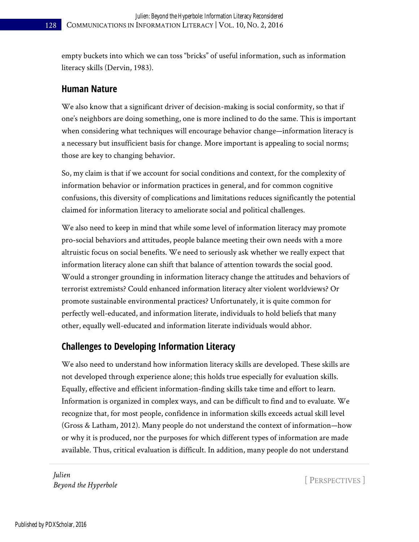empty buckets into which we can toss "bricks" of useful information, such as information literacy skills (Dervin, 1983).

#### **Human Nature**

We also know that a significant driver of decision-making is social conformity, so that if one's neighbors are doing something, one is more inclined to do the same. This is important when considering what techniques will encourage behavior change—information literacy is a necessary but insufficient basis for change. More important is appealing to social norms; those are key to changing behavior.

So, my claim is that if we account for social conditions and context, for the complexity of information behavior or information practices in general, and for common cognitive confusions, this diversity of complications and limitations reduces significantly the potential claimed for information literacy to ameliorate social and political challenges.

We also need to keep in mind that while some level of information literacy may promote pro-social behaviors and attitudes, people balance meeting their own needs with a more altruistic focus on social benefits. We need to seriously ask whether we really expect that information literacy alone can shift that balance of attention towards the social good. Would a stronger grounding in information literacy change the attitudes and behaviors of terrorist extremists? Could enhanced information literacy alter violent worldviews? Or promote sustainable environmental practices? Unfortunately, it is quite common for perfectly well-educated, and information literate, individuals to hold beliefs that many other, equally well-educated and information literate individuals would abhor.

## **Challenges to Developing Information Literacy**

We also need to understand how information literacy skills are developed. These skills are not developed through experience alone; this holds true especially for evaluation skills. Equally, effective and efficient information-finding skills take time and effort to learn. Information is organized in complex ways, and can be difficult to find and to evaluate. We recognize that, for most people, confidence in information skills exceeds actual skill level (Gross & Latham, 2012). Many people do not understand the context of information—how or why it is produced, nor the purposes for which different types of information are made available. Thus, critical evaluation is difficult. In addition, many people do not understand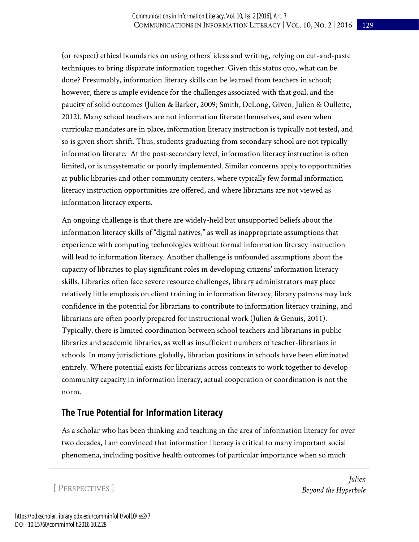(or respect) ethical boundaries on using others' ideas and writing, relying on cut-and-paste techniques to bring disparate information together. Given this status quo, what can be done? Presumably, information literacy skills can be learned from teachers in school; however, there is ample evidence for the challenges associated with that goal, and the paucity of solid outcomes (Julien & Barker, 2009; Smith, DeLong, Given, Julien & Oullette, 2012). Many school teachers are not information literate themselves, and even when curricular mandates are in place, information literacy instruction is typically not tested, and so is given short shrift. Thus, students graduating from secondary school are not typically information literate. At the post-secondary level, information literacy instruction is often limited, or is unsystematic or poorly implemented. Similar concerns apply to opportunities at public libraries and other community centers, where typically few formal information literacy instruction opportunities are offered, and where librarians are not viewed as information literacy experts.

An ongoing challenge is that there are widely-held but unsupported beliefs about the information literacy skills of "digital natives," as well as inappropriate assumptions that experience with computing technologies without formal information literacy instruction will lead to information literacy. Another challenge is unfounded assumptions about the capacity of libraries to play significant roles in developing citizens' information literacy skills. Libraries often face severe resource challenges, library administrators may place relatively little emphasis on client training in information literacy, library patrons may lack confidence in the potential for librarians to contribute to information literacy training, and librarians are often poorly prepared for instructional work (Julien & Genuis, 2011). Typically, there is limited coordination between school teachers and librarians in public libraries and academic libraries, as well as insufficient numbers of teacher-librarians in schools. In many jurisdictions globally, librarian positions in schools have been eliminated entirely. Where potential exists for librarians across contexts to work together to develop community capacity in information literacy, actual cooperation or coordination is not the norm.

# **The True Potential for Information Literacy**

As a scholar who has been thinking and teaching in the area of information literacy for over two decades, I am convinced that information literacy is critical to many important social phenomena, including positive health outcomes (of particular importance when so much

[ PERSPECTIVES ]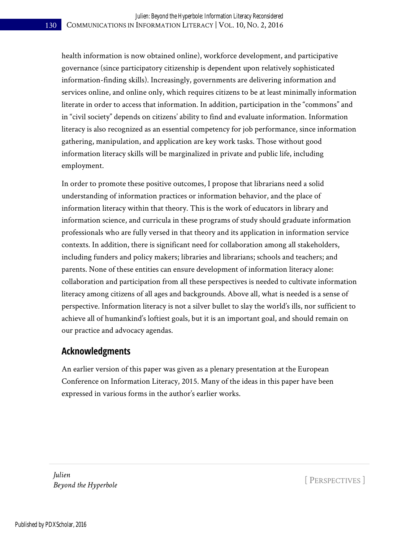health information is now obtained online), workforce development, and participative governance (since participatory citizenship is dependent upon relatively sophisticated information-finding skills). Increasingly, governments are delivering information and services online, and online only, which requires citizens to be at least minimally information literate in order to access that information. In addition, participation in the "commons" and in "civil society" depends on citizens' ability to find and evaluate information. Information literacy is also recognized as an essential competency for job performance, since information gathering, manipulation, and application are key work tasks. Those without good information literacy skills will be marginalized in private and public life, including employment.

In order to promote these positive outcomes, I propose that librarians need a solid understanding of information practices or information behavior, and the place of information literacy within that theory. This is the work of educators in library and information science, and curricula in these programs of study should graduate information professionals who are fully versed in that theory and its application in information service contexts. In addition, there is significant need for collaboration among all stakeholders, including funders and policy makers; libraries and librarians; schools and teachers; and parents. None of these entities can ensure development of information literacy alone: collaboration and participation from all these perspectives is needed to cultivate information literacy among citizens of all ages and backgrounds. Above all, what is needed is a sense of perspective. Information literacy is not a silver bullet to slay the world's ills, nor sufficient to achieve all of humankind's loftiest goals, but it is an important goal, and should remain on our practice and advocacy agendas.

## **Acknowledgments**

An earlier version of this paper was given as a plenary presentation at the European Conference on Information Literacy, 2015. Many of the ideas in this paper have been expressed in various forms in the author's earlier works.